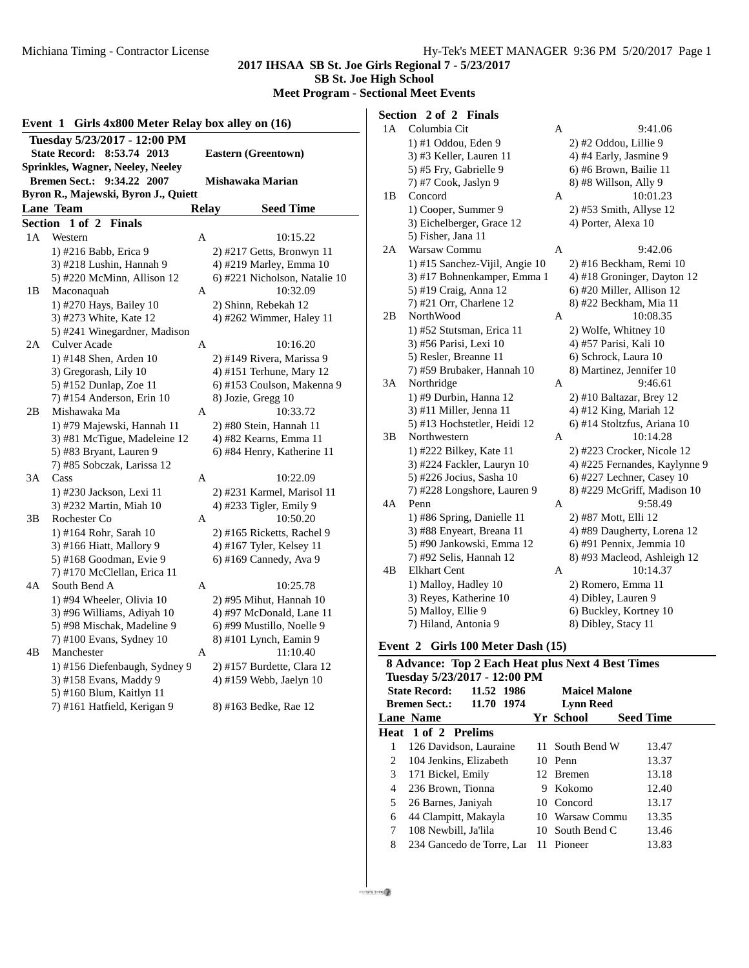#### **2017 IHSAA SB St. Joe Girls Regional 7 - 5/23/2017**

**SB St. Joe High School**

**Meet Program - Sectional Meet Events**

|                | Girls 4x800 Meter Relay box alley on (16)<br>Event 1 |              |                               |  |  |  |
|----------------|------------------------------------------------------|--------------|-------------------------------|--|--|--|
|                | Tuesday 5/23/2017 - 12:00 PM                         |              |                               |  |  |  |
|                | <b>State Record:</b><br>8:53.74 2013                 |              | <b>Eastern (Greentown)</b>    |  |  |  |
|                | Sprinkles, Wagner, Neeley, Neeley                    |              |                               |  |  |  |
|                | <b>Bremen Sect.:</b><br>9:34.22 2007                 |              | Mishawaka Marian              |  |  |  |
|                | Byron R., Majewski, Byron J., Quiett                 |              |                               |  |  |  |
|                | <b>Lane Team</b>                                     | <b>Relay</b> | <b>Seed Time</b>              |  |  |  |
| <b>Section</b> | 1 of 2<br><b>Finals</b>                              |              |                               |  |  |  |
| 1A             | Western                                              | A            | 10:15.22                      |  |  |  |
|                | 1) #216 Babb, Erica 9                                |              | 2) #217 Getts, Bronwyn 11     |  |  |  |
|                | 3) #218 Lushin, Hannah 9                             |              | 4) #219 Marley, Emma 10       |  |  |  |
|                | 5) #220 McMinn, Allison 12                           |              | 6) #221 Nicholson, Natalie 10 |  |  |  |
| 1 B            | Maconaquah                                           | А            | 10:32.09                      |  |  |  |
|                | 1) #270 Hays, Bailey 10                              |              | 2) Shinn, Rebekah 12          |  |  |  |
|                | 3) #273 White, Kate 12                               |              | 4) #262 Wimmer, Haley 11      |  |  |  |
|                | 5) #241 Winegardner, Madison                         |              |                               |  |  |  |
| 2Α             | Culver Acade                                         | A            | 10:16.20                      |  |  |  |
|                | 1) #148 Shen, Arden 10                               |              | 2) #149 Rivera, Marissa 9     |  |  |  |
|                | 3) Gregorash, Lily 10                                |              | 4) #151 Terhune, Mary 12      |  |  |  |
|                | 5) #152 Dunlap, Zoe 11                               |              | 6) #153 Coulson, Makenna 9    |  |  |  |
|                | 7) #154 Anderson, Erin 10                            |              | 8) Jozie, Gregg 10            |  |  |  |
| 2В             | Mishawaka Ma                                         | A            | 10:33.72                      |  |  |  |
|                | 1) #79 Majewski, Hannah 11                           |              | 2) #80 Stein, Hannah 11       |  |  |  |
|                | 3) #81 McTigue, Madeleine 12                         |              | 4) #82 Kearns, Emma 11        |  |  |  |
|                | 5) #83 Bryant, Lauren 9                              |              | 6) #84 Henry, Katherine 11    |  |  |  |
|                | 7) #85 Sobczak, Larissa 12                           |              |                               |  |  |  |
| 3A             | Cass                                                 | A            | 10:22.09                      |  |  |  |
|                | 1) #230 Jackson, Lexi 11                             |              | 2) #231 Karmel, Marisol 11    |  |  |  |
|                | 3) #232 Martin, Miah 10                              |              | 4) #233 Tigler, Emily 9       |  |  |  |
| 3B             | Rochester Co                                         | A            | 10:50.20                      |  |  |  |
|                | 1) #164 Rohr, Sarah 10                               |              | 2) #165 Ricketts, Rachel 9    |  |  |  |
|                | 3) #166 Hiatt, Mallory 9                             |              | 4) #167 Tyler, Kelsey 11      |  |  |  |
|                | 5) #168 Goodman, Evie 9                              |              | 6) #169 Cannedy, Ava 9        |  |  |  |
|                | 7) #170 McClellan, Erica 11                          |              |                               |  |  |  |
| 4Α             | South Bend A                                         | A            | 10:25.78                      |  |  |  |
|                | 1) #94 Wheeler, Olivia 10                            |              | 2) #95 Mihut, Hannah 10       |  |  |  |
|                | 3) #96 Williams, Adiyah 10                           |              | 4) #97 McDonald, Lane 11      |  |  |  |
|                | 5) #98 Mischak, Madeline 9                           |              | 6) #99 Mustillo, Noelle 9     |  |  |  |
|                | 7) #100 Evans, Sydney 10                             |              | 8) #101 Lynch, Eamin 9        |  |  |  |
| 4B             | Manchester                                           | A            | 11:10.40                      |  |  |  |
|                | 1) #156 Diefenbaugh, Sydney 9                        |              | 2) #157 Burdette, Clara 12    |  |  |  |
|                | 3) #158 Evans, Maddy 9                               |              | 4) #159 Webb, Jaelyn 10       |  |  |  |
|                | 5) #160 Blum, Kaitlyn 11                             |              |                               |  |  |  |
|                | 7) #161 Hatfield, Kerigan 9                          |              | 8) #163 Bedke, Rae 12         |  |  |  |

## **Section 2 of 2 Finals**

| 1A | Columbia Cit                                           | Α | 9:41.06                                             |
|----|--------------------------------------------------------|---|-----------------------------------------------------|
|    | 1) #1 Oddou, Eden 9                                    |   | 2) #2 Oddou, Lillie 9                               |
|    | 3) #3 Keller, Lauren 11                                |   | 4) #4 Early, Jasmine 9                              |
|    | 5) #5 Fry, Gabrielle 9                                 |   | 6) #6 Brown, Bailie 11                              |
|    | 7) #7 Cook, Jaslyn 9                                   |   | 8) #8 Willson, Ally 9                               |
| 1B | Concord                                                | Α | 10:01.23                                            |
|    | 1) Cooper, Summer 9                                    |   | 2) #53 Smith, Allyse 12                             |
|    | 3) Eichelberger, Grace 12                              |   | 4) Porter, Alexa 10                                 |
|    | 5) Fisher, Jana 11                                     |   |                                                     |
| 2A | Warsaw Commu                                           | A | 9:42.06                                             |
|    | 1) #15 Sanchez-Vijil, Angie 10                         |   | 2) #16 Beckham, Remi 10                             |
|    | 3) #17 Bohnenkamper, Emma 1                            |   | 4) #18 Groninger, Dayton 12                         |
|    | 5) #19 Craig, Anna 12                                  |   | 6) #20 Miller, Allison 12                           |
|    | 7) #21 Orr, Charlene 12                                |   | 8) #22 Beckham, Mia 11                              |
| 2B | NorthWood                                              | А | 10:08.35                                            |
|    | 1) #52 Stutsman, Erica 11                              |   | 2) Wolfe, Whitney 10                                |
|    | 3) #56 Parisi, Lexi 10                                 |   | 4) #57 Parisi, Kali 10                              |
|    | 5) Resler, Breanne 11                                  |   | 6) Schrock, Laura 10                                |
|    | 7) #59 Brubaker, Hannah 10                             |   | 8) Martinez, Jennifer 10                            |
| 3A | Northridge                                             | А | 9:46.61                                             |
|    | 1) #9 Durbin, Hanna 12                                 |   | $2)$ #10 Baltazar, Brey 12                          |
|    | 3) #11 Miller, Jenna 11                                |   | 4) #12 King, Mariah 12                              |
|    | 5) #13 Hochstetler, Heidi 12                           |   | 6) #14 Stoltzfus, Ariana 10                         |
| 3B | Northwestern                                           | А | 10:14.28                                            |
|    | 1) #222 Bilkey, Kate 11                                |   | 2) #223 Crocker, Nicole 12                          |
|    | 3) #224 Fackler, Lauryn 10                             |   | 4) #225 Fernandes, Kaylynne 9                       |
|    | 5) #226 Jocius, Sasha 10                               |   | 6) #227 Lechner, Casey 10                           |
|    | 7) #228 Longshore, Lauren 9                            |   | 8) #229 McGriff, Madison 10                         |
| 4Α | Penn                                                   | А | 9:58.49                                             |
|    | 1) #86 Spring, Danielle 11                             |   | 2) #87 Mott, Elli 12<br>4) #89 Daugherty, Lorena 12 |
|    | 3) #88 Enyeart, Breana 11<br>5) #90 Jankowski, Emma 12 |   | 6) #91 Pennix, Jemmia 10                            |
|    | 7) #92 Selis, Hannah 12                                |   | 8) #93 Macleod, Ashleigh 12                         |
| 4B | <b>Elkhart Cent</b>                                    | Α | 10:14.37                                            |
|    | 1) Malloy, Hadley 10                                   |   | 2) Romero, Emma 11                                  |
|    | 3) Reyes, Katherine 10                                 |   | 4) Dibley, Lauren 9                                 |
|    | 5) Malloy, Ellie 9                                     |   | 6) Buckley, Kortney 10                              |
|    | 7) Hiland, Antonia 9                                   |   | 8) Dibley, Stacy 11                                 |
|    |                                                        |   |                                                     |
|    | Event 2 Girls 100 Meter Dash (15)                      |   |                                                     |

|                                                            | 8 Advance: Top 2 Each Heat plus Next 4 Best Times |    |                  |                  |  |  |  |
|------------------------------------------------------------|---------------------------------------------------|----|------------------|------------------|--|--|--|
|                                                            | Tuesday 5/23/2017 - 12:00 PM                      |    |                  |                  |  |  |  |
| <b>State Record:</b><br>11.52 1986<br><b>Maicel Malone</b> |                                                   |    |                  |                  |  |  |  |
|                                                            | <b>Bremen Sect.: 11.70 1974</b>                   |    | <b>Lynn Reed</b> |                  |  |  |  |
|                                                            | <b>Lane Name</b>                                  |    | Yr School        | <b>Seed Time</b> |  |  |  |
|                                                            | <b>Heat 1 of 2 Prelims</b>                        |    |                  |                  |  |  |  |
| 1                                                          | 126 Davidson, Lauraine                            |    | 11 South Bend W  | 13.47            |  |  |  |
| 2                                                          | 104 Jenkins, Elizabeth                            |    | 10 Penn          | 13.37            |  |  |  |
| 3                                                          | 171 Bickel, Emily                                 |    | 12 Bremen        | 13.18            |  |  |  |
| 4                                                          | 236 Brown, Tionna                                 | 9. | Kokomo           | 12.40            |  |  |  |
| 5                                                          | 26 Barnes, Janiyah                                |    | 10 Concord       | 13.17            |  |  |  |
| 6                                                          | 44 Clampitt, Makayla                              |    | 10 Warsaw Commu  | 13.35            |  |  |  |
| 7                                                          | 108 Newbill, Ja'lila                              |    | 10 South Bend C  | 13.46            |  |  |  |
| 8                                                          | 234 Gancedo de Torre, Lar                         |    | 11 Pioneer       | 13.83            |  |  |  |

 $m/srs \sin \theta$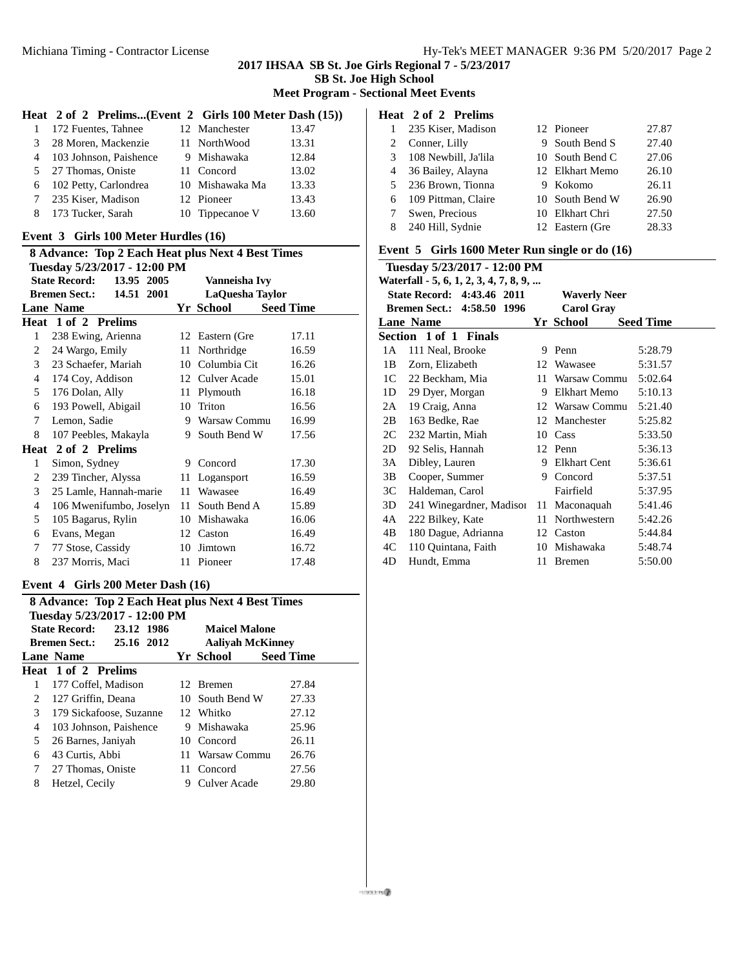# **2017 IHSAA SB St. Joe Girls Regional 7 - 5/23/2017**

**SB St. Joe High School**

**Meet Program - Sectional Meet Events**

## **Heat 2 of 2 Prelims...(Event 2 Girls 100 Meter Dash (15))**

|        | 1 172 Fuentes, Tahnee    | 12 Manchester   | 13.47 |
|--------|--------------------------|-----------------|-------|
| 3      | 28 Moren, Mackenzie      | 11 NorthWood    | 13.31 |
|        | 4 103 Johnson, Paishence | 9 Mishawaka     | 12.84 |
|        | 5 27 Thomas, Oniste      | 11 Concord      | 13.02 |
|        | 6 102 Petty, Carlondrea  | 10 Mishawaka Ma | 13.33 |
| $\tau$ | 235 Kiser, Madison       | 12 Pioneer      | 13.43 |
| 8      | 173 Tucker, Sarah        | 10 Tippecanoe V | 13.60 |

#### **Event 3 Girls 100 Meter Hurdles (16)**

|                | <b>8 Advance: Top 2 Each Heat plus Next 4 Best Times</b> |    |                 |                  |  |  |
|----------------|----------------------------------------------------------|----|-----------------|------------------|--|--|
|                | Tuesday 5/23/2017 - 12:00 PM                             |    |                 |                  |  |  |
|                | <b>State Record:</b><br>13.95 2005                       |    | Vanneisha Ivv   |                  |  |  |
|                | 14.51 2001<br><b>Bremen Sect.:</b>                       |    | LaQuesha Taylor |                  |  |  |
|                | <b>Lane Name</b>                                         |    | Yr School       | <b>Seed Time</b> |  |  |
|                | Heat 1 of 2 Prelims                                      |    |                 |                  |  |  |
| 1              | 238 Ewing, Arienna                                       |    | 12 Eastern (Gre | 17.11            |  |  |
| 2              | 24 Wargo, Emily                                          | 11 | Northridge      | 16.59            |  |  |
| 3              | 23 Schaefer, Mariah                                      |    | 10 Columbia Cit | 16.26            |  |  |
| 4              | 174 Coy, Addison                                         |    | 12 Culver Acade | 15.01            |  |  |
| 5              | 176 Dolan, Ally                                          | 11 | Plymouth        | 16.18            |  |  |
| 6              | 193 Powell, Abigail                                      | 10 | Triton          | 16.56            |  |  |
| 7              | Lemon, Sadie                                             |    | 9 Warsaw Commu  | 16.99            |  |  |
| 8              | 107 Peebles, Makayla                                     | 9. | South Bend W    | 17.56            |  |  |
|                | Heat 2 of 2 Prelims                                      |    |                 |                  |  |  |
| 1              | Simon, Sydney                                            | 9  | Concord         | 17.30            |  |  |
| 2              | 239 Tincher, Alyssa                                      | 11 | Logansport      | 16.59            |  |  |
| 3              | 25 Lamle, Hannah-marie                                   | 11 | Wawasee         | 16.49            |  |  |
| $\overline{4}$ | 106 Mwenifumbo, Joselyn                                  | 11 | South Bend A    | 15.89            |  |  |
| 5              | 105 Bagarus, Rylin                                       |    | 10 Mishawaka    | 16.06            |  |  |
| 6              | Evans, Megan                                             |    | 12 Caston       | 16.49            |  |  |
| 7              | 77 Stose, Cassidy                                        | 10 | Jimtown         | 16.72            |  |  |
| 8              | 237 Morris, Maci                                         |    | 11 Pioneer      | 17.48            |  |  |
|                |                                                          |    |                 |                  |  |  |

## **Event 4 Girls 200 Meter Dash (16)**

|                                                            | <b>8 Advance: Top 2 Each Heat plus Next 4 Best Times</b> |    |                         |                  |  |  |
|------------------------------------------------------------|----------------------------------------------------------|----|-------------------------|------------------|--|--|
| Tuesday 5/23/2017 - 12:00 PM                               |                                                          |    |                         |                  |  |  |
| <b>State Record:</b><br>23.12 1986<br><b>Maicel Malone</b> |                                                          |    |                         |                  |  |  |
|                                                            | <b>Bremen Sect.:</b> 25.16 2012                          |    | <b>Aalivah McKinney</b> |                  |  |  |
|                                                            | Lane Name                                                |    | Yr School               | <b>Seed Time</b> |  |  |
|                                                            | Heat 1 of 2 Prelims                                      |    |                         |                  |  |  |
| 1                                                          | 177 Coffel. Madison                                      |    | 12 Bremen               | 27.84            |  |  |
| 2                                                          | 127 Griffin, Deana                                       |    | 10 South Bend W         | 27.33            |  |  |
| 3                                                          | 179 Sickafoose, Suzanne                                  |    | 12 Whitko               | 27.12            |  |  |
| 4                                                          | 103 Johnson, Paishence                                   |    | 9 Mishawaka             | 25.96            |  |  |
| 5                                                          | 26 Barnes, Janiyah                                       |    | 10 Concord              | 26.11            |  |  |
| 6                                                          | 43 Curtis, Abbi                                          | 11 | Warsaw Commu            | 26.76            |  |  |
| 7                                                          | 27 Thomas, Oniste                                        |    | 11 Concord              | 27.56            |  |  |
| 8                                                          | Hetzel, Cecily                                           | 9  | Culver Acade            | 29.80            |  |  |

#### **Heat 2 of 2 Prelims**

|    | 235 Kiser, Madison   | 12 Pioneer      | 27.87 |
|----|----------------------|-----------------|-------|
|    | Conner, Lilly        | 9 South Bend S  | 27.40 |
| 3  | 108 Newbill, Ja'lila | 10 South Bend C | 27.06 |
| 4  | 36 Bailey, Alayna    | 12 Elkhart Memo | 26.10 |
| 5. | 236 Brown, Tionna    | 9 Kokomo        | 26.11 |
| 6  | 109 Pittman, Claire  | 10 South Bend W | 26.90 |
|    | Swen, Precious       | 10 Elkhart Chri | 27.50 |
| 8  | 240 Hill, Sydnie     | 12 Eastern (Gre | 28.33 |

## **Event 5 Girls 1600 Meter Run single or do (16)**

|     | Tuesday 5/23/2017 - 12:00 PM                             |    |                 |                  |  |  |
|-----|----------------------------------------------------------|----|-----------------|------------------|--|--|
|     | Waterfall - 5, 6, 1, 2, 3, 4, 7, 8, 9,                   |    |                 |                  |  |  |
|     | <b>State Record: 4:43.46 2011</b><br><b>Waverly Neer</b> |    |                 |                  |  |  |
|     | Bremen Sect.: 4:58.50 1996<br><b>Carol Gray</b>          |    |                 |                  |  |  |
|     | <b>Lane Name</b>                                         |    | Yr School       | <b>Seed Time</b> |  |  |
|     | Section 1 of 1 Finals                                    |    |                 |                  |  |  |
| 1 A | 111 Neal, Brooke                                         | 9  | Penn            | 5:28.79          |  |  |
| 1B  | Zorn, Elizabeth                                          | 12 | Wawasee         | 5:31.57          |  |  |
|     | 1C 22 Beckham, Mia                                       | 11 | Warsaw Commu    | 5:02.64          |  |  |
| 1D  | 29 Dyer, Morgan                                          | 9  | Elkhart Memo    | 5:10.13          |  |  |
| 2A  | 19 Craig, Anna                                           |    | 12 Warsaw Commu | 5:21.40          |  |  |
| 2B  | 163 Bedke, Rae                                           | 12 | Manchester      | 5:25.82          |  |  |
| 2C  | 232 Martin, Miah                                         | 10 | Cass            | 5:33.50          |  |  |
| 2D  | 92 Selis, Hannah                                         |    | 12 Penn         | 5:36.13          |  |  |
| 3A  | Dibley, Lauren                                           | 9  | Elkhart Cent    | 5:36.61          |  |  |
| 3B  | Cooper, Summer                                           | 9  | Concord         | 5:37.51          |  |  |
| 3C  | Haldeman, Carol                                          |    | Fairfield       | 5:37.95          |  |  |
| 3D  | 241 Winegardner, Madisor                                 |    | 11 Maconaguah   | 5:41.46          |  |  |
| 4A  | 222 Bilkey, Kate                                         | 11 | Northwestern    | 5:42.26          |  |  |
| 4B  | 180 Dague, Adrianna                                      |    | 12 Caston       | 5:44.84          |  |  |
| 4C  | 110 Quintana, Faith                                      | 10 | Mishawaka       | 5:48.74          |  |  |
| 4D  | Hundt, Emma                                              | 11 | <b>Bremen</b>   | 5:50.00          |  |  |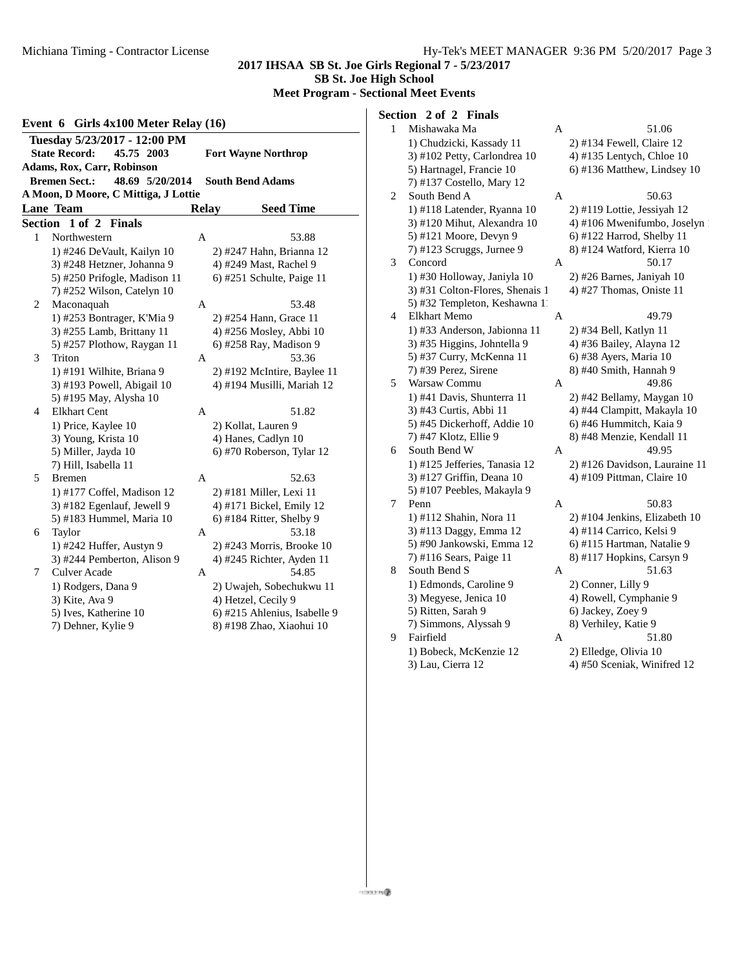2 Maconaquah

4 Elkhart Cent

5 Bremen

6 Taylor

7 Culver Acade

3 Triton

# **2017 IHSAA SB St. Joe Girls Regional 7 - 5/23/2017**

**SB St. Joe High School**

**Meet Program - Sectional Meet Events**

#### **Event 6 Girls 4x100 Meter Relay (16) Tuesday 5/23/2017 - 12:00 PM State Record: 45.75 2003 Fort Wayne Northrop Adams, Rox, Carr, Robinson Bremen Sect.: 48.69 5/20/2014 South Bend Adams A Moon, D Moore, C Mittiga, J Lottie Lane Team Relay Seed Time Section 1 of 2 Finals** 1 Northwestern A 53.88 1) #246 DeVault, Kailyn 10 3) #248 Hetzner, Johanna 9 5) #250 Prifogle, Madison 1 7) #252 Wilson, Catelyn 10

| 1) #246 DeVault, Kailyn 10   |   | 2) #247 Hahn, Brianna 12     |
|------------------------------|---|------------------------------|
| 3) #248 Hetzner, Johanna 9   |   | 4) #249 Mast, Rachel 9       |
| 5) #250 Prifogle, Madison 11 |   | $(6)$ #251 Schulte, Paige 11 |
| 7) #252 Wilson, Catelyn 10   |   |                              |
| Maconaquah                   | A | 53.48                        |
| 1) #253 Bontrager, K'Mia 9   |   | 2) #254 Hann, Grace 11       |
| 3) #255 Lamb, Brittany 11    |   | 4) #256 Mosley, Abbi 10      |
| 5) #257 Plothow, Raygan 11   |   | 6) #258 Ray, Madison 9       |
| Triton                       | A | 53.36                        |
| 1) #191 Wilhite, Briana 9    |   | 2) #192 McIntire, Baylee 11  |
| 3) #193 Powell, Abigail 10   |   | 4) #194 Musilli, Mariah 12   |
| 5) #195 May, Alysha 10       |   |                              |
| <b>Elkhart Cent</b>          | A | 51.82                        |
| 1) Price, Kaylee 10          |   | 2) Kollat, Lauren 9          |
| 3) Young, Krista 10          |   | 4) Hanes, Cadlyn 10          |
| 5) Miller, Jayda 10          |   | 6) #70 Roberson, Tylar 12    |
| 7) Hill, Isabella 11         |   |                              |
| <b>Bremen</b>                | A | 52.63                        |
| 1) #177 Coffel, Madison 12   |   | 2) #181 Miller, Lexi 11      |
| 3) #182 Egenlauf, Jewell 9   |   | 4) #171 Bickel, Emily 12     |
| 5) #183 Hummel, Maria 10     |   | $6)$ #184 Ritter, Shelby 9   |
| Taylor                       | A | 53.18                        |
| 1) #242 Huffer, Austyn 9     |   | 2) #243 Morris, Brooke 10    |
| 3) #244 Pemberton, Alison 9  |   | 4) #245 Richter, Ayden 11    |
| <b>Culver Acade</b>          | A | 54.85                        |
| 1) Rodgers, Dana 9           |   | 2) Uwajeh, Sobechukwu 11     |
| 3) Kite, Ava 9               |   | 4) Hetzel, Cecily 9          |
| 5) Ives, Katherine 10        |   | 6) #215 Ahlenius, Isabelle 9 |
| 7) Dehner, Kylie 9           |   | 8) #198 Zhao. Xiaohui 10     |

## **Section 2 of 2 Finals**

| $\,1$ | Mishawaka Ma                    | A | 51.06                         |
|-------|---------------------------------|---|-------------------------------|
|       | 1) Chudzicki, Kassady 11        |   | 2) #134 Fewell, Claire 12     |
|       | 3) #102 Petty, Carlondrea 10    |   | 4) #135 Lentych, Chloe 10     |
|       | 5) Hartnagel, Francie 10        |   | 6) #136 Matthew, Lindsey 10   |
|       | 7) #137 Costello, Mary 12       |   |                               |
| 2     | South Bend A                    | A | 50.63                         |
|       | 1) #118 Latender, Ryanna 10     |   | 2) #119 Lottie, Jessiyah 12   |
|       | 3) #120 Mihut, Alexandra 10     |   | 4) #106 Mwenifumbo, Joselyn   |
|       | 5) #121 Moore, Devyn 9          |   | 6) #122 Harrod, Shelby 11     |
|       | 7) #123 Scruggs, Jurnee 9       |   | 8) #124 Watford, Kierra 10    |
| 3     | Concord                         | А | 50.17                         |
|       | 1) #30 Holloway, Janiyla 10     |   | 2) #26 Barnes, Janiyah 10     |
|       | 3) #31 Colton-Flores, Shenais 1 |   | 4) #27 Thomas, Oniste 11      |
|       | 5) #32 Templeton, Keshawna 11   |   |                               |
| 4     | <b>Elkhart Memo</b>             | А | 49.79                         |
|       | 1) #33 Anderson, Jabionna 11    |   | 2) #34 Bell, Katlyn 11        |
|       | 3) #35 Higgins, Johntella 9     |   | 4) #36 Bailey, Alayna 12      |
|       | 5) #37 Curry, McKenna 11        |   | 6) #38 Ayers, Maria 10        |
|       | 7) #39 Perez, Sirene            |   | 8) #40 Smith, Hannah 9        |
| 5     | Warsaw Commu                    | А | 49.86                         |
|       | 1) #41 Davis, Shunterra 11      |   | 2) #42 Bellamy, Maygan 10     |
|       | 3) #43 Curtis, Abbi 11          |   | 4) #44 Clampitt, Makayla 10   |
|       | 5) #45 Dickerhoff, Addie 10     |   | 6) #46 Hummitch, Kaia 9       |
|       | 7) #47 Klotz, Ellie 9           |   | 8) #48 Menzie, Kendall 11     |
| 6     | South Bend W                    | A | 49.95                         |
|       | 1) #125 Jefferies, Tanasia 12   |   | 2) #126 Davidson, Lauraine 11 |
|       | 3) #127 Griffin, Deana 10       |   | 4) #109 Pittman, Claire 10    |
|       | 5) #107 Peebles, Makayla 9      |   |                               |
| 7     | Penn                            | Α | 50.83                         |
|       | 1) #112 Shahin, Nora 11         |   | 2) #104 Jenkins, Elizabeth 10 |
|       | 3) #113 Daggy, Emma 12          |   | 4) #114 Carrico, Kelsi 9      |
|       | 5) #90 Jankowski, Emma 12       |   | 6) #115 Hartman, Natalie 9    |
|       | 7) #116 Sears, Paige 11         |   | 8) #117 Hopkins, Carsyn 9     |
| 8     | South Bend S                    | А | 51.63                         |
|       | 1) Edmonds, Caroline 9          |   | 2) Conner, Lilly 9            |
|       | 3) Megyese, Jenica 10           |   | 4) Rowell, Cymphanie 9        |
|       | 5) Ritten, Sarah 9              |   | 6) Jackey, Zoey 9             |
|       | 7) Simmons, Alyssah 9           |   | 8) Verhiley, Katie 9          |
| 9     | Fairfield                       | А | 51.80                         |
|       | 1) Bobeck, McKenzie 12          |   | 2) Elledge, Olivia 10         |

3) Lau, Cierra 12 4) #50 Sceniak, Winifred 12

misra a mg @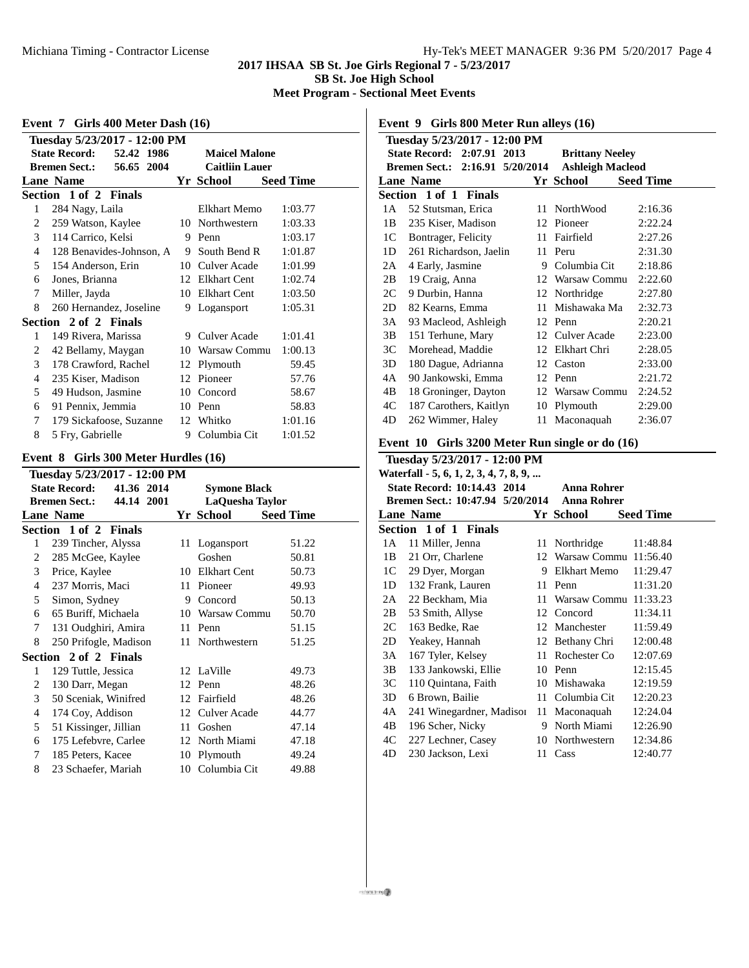#### **2017 IHSAA SB St. Joe Girls Regional 7 - 5/23/2017 SB St. Joe High School Meet Program - Sectional Meet Events**

|                              | Event 7 Girls 400 Meter Dash (16)  |     |                       |                  |  |  |
|------------------------------|------------------------------------|-----|-----------------------|------------------|--|--|
| Tuesday 5/23/2017 - 12:00 PM |                                    |     |                       |                  |  |  |
|                              | <b>State Record:</b><br>52.42 1986 |     | <b>Maicel Malone</b>  |                  |  |  |
|                              | <b>Bremen Sect.:</b><br>56.65 2004 |     | <b>Caitliin Lauer</b> |                  |  |  |
|                              | <b>Lane Name</b>                   |     | Yr School             | <b>Seed Time</b> |  |  |
|                              | Section 1 of 2 Finals              |     |                       |                  |  |  |
| 1                            | 284 Nagy, Laila                    |     | <b>Elkhart Memo</b>   | 1:03.77          |  |  |
| 2                            | 259 Watson, Kaylee                 | 10- | Northwestern          | 1:03.33          |  |  |
| 3                            | 114 Carrico, Kelsi                 | 9   | Penn                  | 1:03.17          |  |  |
| 4                            | 128 Benavides-Johnson, A           | 9   | South Bend R          | 1:01.87          |  |  |
| 5                            | 154 Anderson, Erin                 | 10  | Culver Acade          | 1:01.99          |  |  |
| 6                            | Jones, Brianna                     |     | 12 Elkhart Cent       | 1:02.74          |  |  |
| 7                            | Miller, Jayda                      | 10  | <b>Elkhart Cent</b>   | 1:03.50          |  |  |
| 8                            | 260 Hernandez, Joseline            | 9   | Logansport            | 1:05.31          |  |  |
|                              | Section 2 of 2 Finals              |     |                       |                  |  |  |
| 1                            | 149 Rivera, Marissa                |     | 9 Culver Acade        | 1:01.41          |  |  |
| 2                            | 42 Bellamy, Maygan                 |     | 10 Warsaw Commu       | 1:00.13          |  |  |
| 3                            | 178 Crawford, Rachel               | 12  | Plymouth              | 59.45            |  |  |
| 4                            | 235 Kiser, Madison                 |     | 12 Pioneer            | 57.76            |  |  |
| 5                            | 49 Hudson, Jasmine                 |     | 10 Concord            | 58.67            |  |  |
| 6                            | 91 Pennix, Jemmia                  |     | 10 Penn               | 58.83            |  |  |
| 7                            | 179 Sickafoose, Suzanne            |     | 12 Whitko             | 1:01.16          |  |  |
| 8                            | 5 Fry, Gabrielle                   | 9   | Columbia Cit          | 1:01.52          |  |  |

# **Event 8 Girls 300 Meter Hurdles (16)**

|                | Tuesday 5/23/2017 - 12:00 PM       |     |                        |                  |  |  |
|----------------|------------------------------------|-----|------------------------|------------------|--|--|
|                | <b>State Record:</b><br>41.36 2014 |     | <b>Symone Black</b>    |                  |  |  |
|                | <b>Bremen Sect.:</b><br>44.14 2001 |     | <b>LaQuesha Taylor</b> |                  |  |  |
|                | <b>Lane Name</b>                   |     | Yr School              | <b>Seed Time</b> |  |  |
|                | Section 1 of 2 Finals              |     |                        |                  |  |  |
| 1              | 239 Tincher, Alyssa                | 11  | Logansport             | 51.22            |  |  |
| 2              | 285 McGee, Kaylee                  |     | Goshen                 | 50.81            |  |  |
| 3              | Price, Kaylee                      |     | 10 Elkhart Cent        | 50.73            |  |  |
| 4              | 237 Morris, Maci                   | 11  | Pioneer                | 49.93            |  |  |
| 5              | Simon, Sydney                      | 9   | Concord                | 50.13            |  |  |
| 6              | 65 Buriff, Michaela                |     | 10 Warsaw Commu        | 50.70            |  |  |
| 7              | 131 Oudghiri, Amira                | 11. | Penn                   | 51.15            |  |  |
| 8              | 250 Prifogle, Madison              |     | 11 Northwestern        | 51.25            |  |  |
|                | Section 2 of 2 Finals              |     |                        |                  |  |  |
| 1              | 129 Tuttle, Jessica                |     | 12 LaVille             | 49.73            |  |  |
| 2              | 130 Darr, Megan                    |     | 12 Penn                | 48.26            |  |  |
| 3              | 50 Sceniak, Winifred               |     | 12 Fairfield           | 48.26            |  |  |
| $\overline{4}$ | 174 Coy, Addison                   |     | 12 Culver Acade        | 44.77            |  |  |
| 5              | 51 Kissinger, Jillian              | 11  | Goshen                 | 47.14            |  |  |
| 6              | 175 Lefebvre, Carlee               |     | 12 North Miami         | 47.18            |  |  |
| 7              | 185 Peters, Kacee                  | 10  | Plymouth               | 49.24            |  |  |
| 8              | 23 Schaefer, Mariah                |     | 10 Columbia Cit        | 49.88            |  |  |
|                |                                    |     |                        |                  |  |  |

**Event 9 Girls 800 Meter Run alleys (16)**

| Tuesdav 5/23/2017 - 12:00 PM                               |                        |    |                 |         |  |  |
|------------------------------------------------------------|------------------------|----|-----------------|---------|--|--|
| State Record: 2:07.91 2013<br><b>Brittany Neeley</b>       |                        |    |                 |         |  |  |
| Bremen Sect.: 2:16.91 5/20/2014<br><b>Ashleigh Macleod</b> |                        |    |                 |         |  |  |
| <b>Lane Name</b><br><b>Seed Time</b><br>Yr School          |                        |    |                 |         |  |  |
|                                                            | Section 1 of 1 Finals  |    |                 |         |  |  |
| 1 A                                                        | 52 Stutsman, Erica     |    | 11 NorthWood    | 2:16.36 |  |  |
| 1B                                                         | 235 Kiser, Madison     |    | 12 Pioneer      | 2:22.24 |  |  |
| 1C                                                         | Bontrager, Felicity    | 11 | Fairfield       | 2:27.26 |  |  |
| 1 <sub>D</sub>                                             | 261 Richardson, Jaelin | 11 | Peru            | 2:31.30 |  |  |
| 2A                                                         | 4 Early, Jasmine       | 9  | Columbia Cit    | 2:18.86 |  |  |
| 2B                                                         | 19 Craig, Anna         |    | 12 Warsaw Commu | 2:22.60 |  |  |
| 2C                                                         | 9 Durbin, Hanna        | 12 | Northridge      | 2:27.80 |  |  |
| 2D                                                         | 82 Kearns, Emma        | 11 | Mishawaka Ma    | 2:32.73 |  |  |
| 3A                                                         | 93 Macleod, Ashleigh   |    | 12 Penn         | 2:20.21 |  |  |
| 3В                                                         | 151 Terhune, Mary      |    | 12 Culver Acade | 2:23.00 |  |  |
| 3C                                                         | Morehead, Maddie       | 12 | Elkhart Chri    | 2:28.05 |  |  |
| 3D                                                         | 180 Dague, Adrianna    |    | 12 Caston       | 2:33.00 |  |  |
| 4A                                                         | 90 Jankowski, Emma     |    | 12 Penn         | 2:21.72 |  |  |
| 4B                                                         | 18 Groninger, Dayton   |    | 12 Warsaw Commu | 2:24.52 |  |  |
| 4C                                                         | 187 Carothers, Kaitlyn | 10 | Plymouth        | 2:29.00 |  |  |
| 4D                                                         | 262 Wimmer, Haley      | 11 | Maconaquah      | 2:36.07 |  |  |

## **Event 10 Girls 3200 Meter Run single or do (16)**

| Tuesday 5/23/2017 - 12:00 PM                      |                                  |    |                          |                  |  |  |
|---------------------------------------------------|----------------------------------|----|--------------------------|------------------|--|--|
| Waterfall - 5, 6, 1, 2, 3, 4, 7, 8, 9,            |                                  |    |                          |                  |  |  |
| State Record: 10:14.43 2014<br><b>Anna Rohrer</b> |                                  |    |                          |                  |  |  |
|                                                   | Bremen Sect.: 10:47.94 5/20/2014 |    | <b>Anna Rohrer</b>       |                  |  |  |
|                                                   | <b>Lane Name</b>                 |    | Yr School                | <b>Seed Time</b> |  |  |
|                                                   | Section 1 of 1 Finals            |    |                          |                  |  |  |
| 1 A                                               | 11 Miller, Jenna                 |    | 11 Northridge            | 11:48.84         |  |  |
| 1B                                                | 21 Orr, Charlene                 |    | 12 Warsaw Commu 11:56.40 |                  |  |  |
| 1C                                                | 29 Dyer, Morgan                  | 9  | Elkhart Memo             | 11:29.47         |  |  |
| 1 <sub>D</sub>                                    | 132 Frank, Lauren                | 11 | Penn                     | 11:31.20         |  |  |
| 2A                                                | 22 Beckham, Mia                  |    | 11 Warsaw Commu 11:33.23 |                  |  |  |
| 2B                                                | 53 Smith, Allyse                 |    | 12 Concord               | 11:34.11         |  |  |
| 2C                                                | 163 Bedke, Rae                   |    | 12 Manchester            | 11:59.49         |  |  |
| 2D                                                | Yeakey, Hannah                   |    | 12 Bethany Chri          | 12:00.48         |  |  |
| 3A                                                | 167 Tyler, Kelsey                | 11 | Rochester Co             | 12:07.69         |  |  |
| 3B                                                | 133 Jankowski, Ellie             | 10 | Penn                     | 12:15.45         |  |  |
| 3C                                                | 110 Quintana, Faith              | 10 | Mishawaka                | 12:19.59         |  |  |
| 3D                                                | 6 Brown, Bailie                  | 11 | Columbia Cit             | 12:20.23         |  |  |
| 4A                                                | 241 Winegardner, Madisor         | 11 | Maconaquah               | 12:24.04         |  |  |
| 4B                                                | 196 Scher, Nicky                 | 9  | North Miami              | 12:26.90         |  |  |
| 4C                                                | 227 Lechner, Casey               | 10 | Northwestern             | 12:34.86         |  |  |
| 4D                                                | 230 Jackson, Lexi                | 11 | Cass                     | 12:40.77         |  |  |
|                                                   |                                  |    |                          |                  |  |  |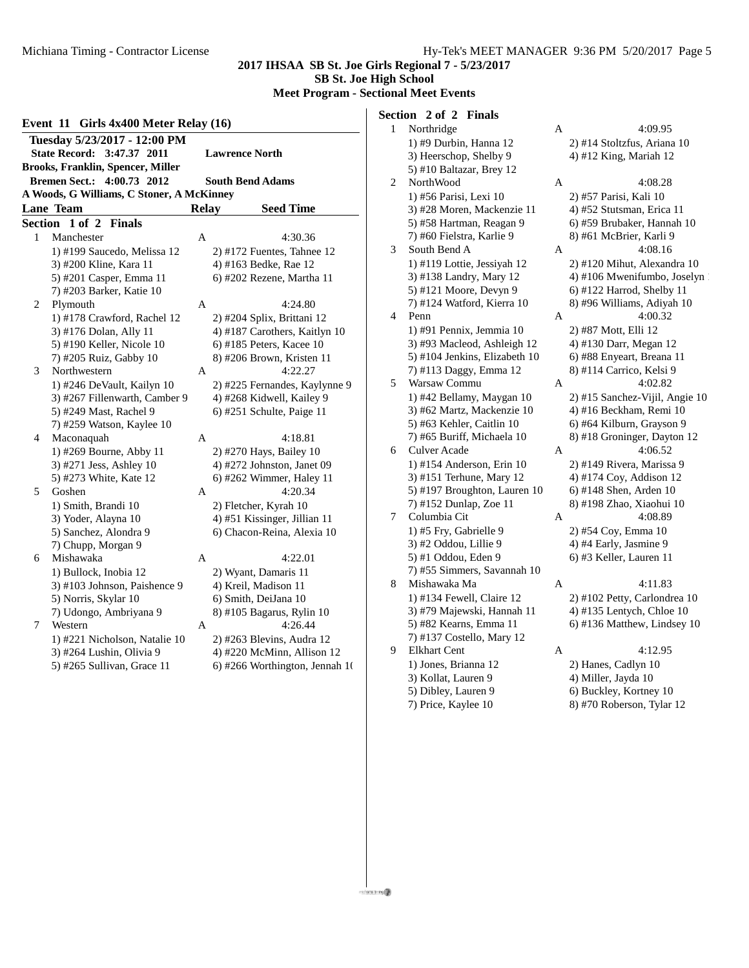**2017 IHSAA SB St. Joe Girls Regional 7 - 5/23/2017 SB St. Joe High School**

**Meet Program - Sectional Meet Events**

#### **Event 11 Girls 4x400 Meter Relay (16) Tuesday 5/23/2017 - 12:00 PM State Record: 3:47.37 2011 Lawrence North Brooks, Franklin, Spencer, Miller Bremen Sect.: 4:00.73 2012 South Bend Adams A Woods, G Williams, C Stoner, A McKinney Lane Team Relay Seed Time Section 1 of 2 Finals**

| secuon | <b>TOL 4 FINALS</b>           |   |                                |
|--------|-------------------------------|---|--------------------------------|
| 1      | Manchester                    | A | 4:30.36                        |
|        | 1) #199 Saucedo, Melissa 12   |   | $2)$ #172 Fuentes, Tahnee 12   |
|        | 3) #200 Kline, Kara 11        |   | 4) #163 Bedke, Rae 12          |
|        | 5) #201 Casper, Emma 11       |   | 6) #202 Rezene, Martha 11      |
|        | 7) #203 Barker, Katie 10      |   |                                |
| 2      | Plymouth                      | A | 4:24.80                        |
|        | 1) #178 Crawford, Rachel 12   |   | 2) #204 Splix, Brittani 12     |
|        | 3) #176 Dolan, Ally 11        |   | 4) #187 Carothers, Kaitlyn 10  |
|        | 5) #190 Keller, Nicole 10     |   | $6)$ #185 Peters, Kacee 10     |
|        | 7) #205 Ruiz, Gabby 10        |   | 8) #206 Brown, Kristen 11      |
| 3      | Northwestern                  | A | 4:22.27                        |
|        | 1) #246 DeVault, Kailyn 10    |   | 2) #225 Fernandes, Kaylynne 9  |
|        | 3) #267 Fillenwarth, Camber 9 |   | 4) #268 Kidwell, Kailey 9      |
|        | 5) #249 Mast, Rachel 9        |   | 6) #251 Schulte, Paige 11      |
|        | 7) #259 Watson, Kaylee 10     |   |                                |
| 4      | Maconaquah                    | A | 4:18.81                        |
|        | 1) #269 Bourne, Abby 11       |   | 2) #270 Hays, Bailey 10        |
|        | 3) #271 Jess, Ashley 10       |   | 4) #272 Johnston, Janet 09     |
|        | 5) #273 White, Kate 12        |   | 6) #262 Wimmer, Haley 11       |
| 5      | Goshen                        | A | 4:20.34                        |
|        | 1) Smith, Brandi 10           |   | 2) Fletcher, Kyrah 10          |
|        | 3) Yoder, Alayna 10           |   | 4) #51 Kissinger, Jillian 11   |
|        | 5) Sanchez, Alondra 9         |   | 6) Chacon-Reina, Alexia 10     |
|        | 7) Chupp, Morgan 9            |   |                                |
| 6      | Mishawaka                     | A | 4:22.01                        |
|        | 1) Bullock, Inobia 12         |   | 2) Wyant, Damaris 11           |
|        | 3) #103 Johnson, Paishence 9  |   | 4) Kreil, Madison 11           |
|        | 5) Norris, Skylar 10          |   | 6) Smith, DeiJana 10           |
|        | 7) Udongo, Ambriyana 9        |   | 8) #105 Bagarus, Rylin 10      |
| 7      | Western                       | A | 4:26.44                        |
|        | 1) #221 Nicholson, Natalie 10 |   | 2) #263 Blevins, Audra 12      |
|        | 3) #264 Lushin, Olivia 9      |   | 4) #220 McMinn, Allison 12     |
|        | 5) #265 Sullivan, Grace 11    |   | 6) #266 Worthington, Jennah 10 |
|        |                               |   |                                |

## **Section 2 of 2 Finals**

| 1 | Northridge                    | Α | 4:09.95                        |
|---|-------------------------------|---|--------------------------------|
|   | 1) #9 Durbin, Hanna 12        |   | 2) #14 Stoltzfus, Ariana 10    |
|   | 3) Heerschop, Shelby 9        |   | 4) #12 King, Mariah 12         |
|   | 5) #10 Baltazar, Brey 12      |   |                                |
| 2 | NorthWood                     | A | 4:08.28                        |
|   | 1) #56 Parisi, Lexi 10        |   | 2) #57 Parisi, Kali 10         |
|   | 3) #28 Moren, Mackenzie 11    |   | 4) #52 Stutsman, Erica 11      |
|   | 5) #58 Hartman, Reagan 9      |   | 6) #59 Brubaker, Hannah 10     |
|   | 7) #60 Fielstra, Karlie 9     |   | 8) #61 McBrier, Karli 9        |
| 3 | South Bend A                  | A | 4:08.16                        |
|   | 1) #119 Lottie, Jessiyah 12   |   | 2) #120 Mihut, Alexandra 10    |
|   | 3) #138 Landry, Mary 12       |   | 4) #106 Mwenifumbo, Joselyn    |
|   | 5) #121 Moore, Devyn 9        |   | 6) #122 Harrod, Shelby 11      |
|   | 7) #124 Watford, Kierra 10    |   | 8) #96 Williams, Adiyah 10     |
| 4 | Penn                          | A | 4:00.32                        |
|   | 1) #91 Pennix, Jemmia 10      |   | 2) #87 Mott, Elli 12           |
|   | 3) #93 Macleod, Ashleigh 12   |   | 4) #130 Darr, Megan 12         |
|   | 5) #104 Jenkins, Elizabeth 10 |   | 6) #88 Enyeart, Breana 11      |
|   | 7) #113 Daggy, Emma 12        |   | 8) #114 Carrico, Kelsi 9       |
| 5 | Warsaw Commu                  | A | 4:02.82                        |
|   | 1) #42 Bellamy, Maygan 10     |   | 2) #15 Sanchez-Vijil, Angie 10 |
|   | 3) #62 Martz, Mackenzie 10    |   | 4) #16 Beckham, Remi 10        |
|   | 5) #63 Kehler, Caitlin 10     |   | 6) #64 Kilburn, Grayson 9      |
|   | 7) #65 Buriff, Michaela 10    |   | 8) #18 Groninger, Dayton 12    |
| 6 | <b>Culver Acade</b>           | А | 4:06.52                        |
|   | 1) #154 Anderson, Erin 10     |   | 2) #149 Rivera, Marissa 9      |
|   | 3) #151 Terhune, Mary 12      |   | 4) #174 Coy, Addison 12        |
|   | 5) #197 Broughton, Lauren 10  |   | 6) #148 Shen, Arden 10         |
|   | 7) #152 Dunlap, Zoe 11        |   | 8) #198 Zhao, Xiaohui 10       |
| 7 | Columbia Cit                  | A | 4:08.89                        |
|   | 1) #5 Fry, Gabrielle 9        |   | 2) #54 Coy, Emma 10            |
|   | 3) #2 Oddou, Lillie 9         |   | 4) #4 Early, Jasmine 9         |
|   | 5) #1 Oddou, Eden 9           |   | 6) #3 Keller, Lauren 11        |
|   | 7) #55 Simmers, Savannah 10   |   |                                |
| 8 | Mishawaka Ma                  | А | 4:11.83                        |
|   | 1) #134 Fewell, Claire 12     |   | 2) #102 Petty, Carlondrea 10   |
|   | 3) #79 Majewski, Hannah 11    |   | 4) #135 Lentych, Chloe 10      |
|   | 5) #82 Kearns, Emma 11        |   | 6) #136 Matthew, Lindsey 10    |
|   | 7) #137 Costello, Mary 12     |   |                                |
| 9 | <b>Elkhart Cent</b>           | А | 4:12.95                        |
|   | 1) Jones, Brianna 12          |   | 2) Hanes, Cadlyn 10            |
|   | 3) Kollat, Lauren 9           |   | 4) Miller, Jayda 10            |
|   | 5) Dibley, Lauren 9           |   | 6) Buckley, Kortney 10         |
|   | 7) Price, Kaylee 10           |   | 8) #70 Roberson, Tylar 12      |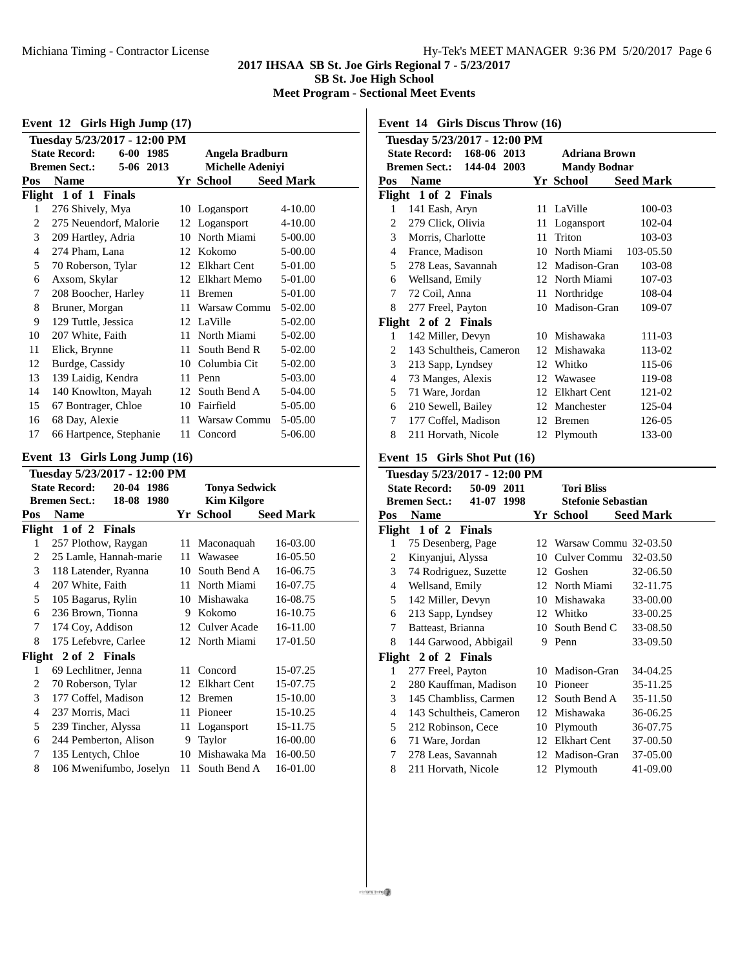## **2017 IHSAA SB St. Joe Girls Regional 7 - 5/23/2017 SB St. Joe High School**

**Meet Program - Sectional Meet Events**

| Event 12 Girls High Jump (17)                                                                                                                        |                         |    |                 |                  |  |  |
|------------------------------------------------------------------------------------------------------------------------------------------------------|-------------------------|----|-----------------|------------------|--|--|
| Tuesday 5/23/2017 - 12:00 PM<br><b>State Record:</b><br>6-00 1985<br>Angela Bradburn<br><b>Bremen Sect.:</b><br>5-06 2013<br><b>Michelle Adeniyi</b> |                         |    |                 |                  |  |  |
| Pos                                                                                                                                                  | <b>Name</b>             |    | Yr School       | <b>Seed Mark</b> |  |  |
| Flight 1 of 1 Finals                                                                                                                                 |                         |    |                 |                  |  |  |
| 1                                                                                                                                                    | 276 Shively, Mya        |    | 10 Logansport   | $4 - 10.00$      |  |  |
| 2                                                                                                                                                    | 275 Neuendorf, Malorie  |    | 12 Logansport   | $4 - 10.00$      |  |  |
| 3                                                                                                                                                    | 209 Hartley, Adria      | 10 | North Miami     | 5-00.00          |  |  |
| 4                                                                                                                                                    | 274 Pham, Lana          | 12 | Kokomo          | 5-00.00          |  |  |
| 5                                                                                                                                                    | 70 Roberson, Tylar      | 12 | Elkhart Cent    | 5-01.00          |  |  |
| 6                                                                                                                                                    | Axsom, Skylar           | 12 | Elkhart Memo    | $5-01.00$        |  |  |
| 7                                                                                                                                                    | 208 Boocher, Harley     | 11 | <b>Bremen</b>   | 5-01.00          |  |  |
| 8                                                                                                                                                    | Bruner, Morgan          | 11 | Warsaw Commu    | $5-02.00$        |  |  |
| 9                                                                                                                                                    | 129 Tuttle, Jessica     |    | 12 LaVille      | 5-02.00          |  |  |
| 10                                                                                                                                                   | 207 White, Faith        | 11 | North Miami     | 5-02.00          |  |  |
| 11                                                                                                                                                   | Elick, Brynne           | 11 | South Bend R    | 5-02.00          |  |  |
| 12                                                                                                                                                   | Burdge, Cassidy         | 10 | Columbia Cit    | 5-02.00          |  |  |
| 13                                                                                                                                                   | 139 Laidig, Kendra      | 11 | Penn            | 5-03.00          |  |  |
| 14                                                                                                                                                   | 140 Knowlton, Mayah     |    | 12 South Bend A | 5-04.00          |  |  |
| 15                                                                                                                                                   | 67 Bontrager, Chloe     | 10 | Fairfield       | 5-05.00          |  |  |
| 16                                                                                                                                                   | 68 Day, Alexie          | 11 | Warsaw Commu    | 5-05.00          |  |  |
| 17                                                                                                                                                   | 66 Hartpence, Stephanie | 11 | Concord         | 5-06.00          |  |  |

## **Event 13 Girls Long Jump (16)**

| Tuesday 5/23/2017 - 12:00 PM       |                                           |    |                      |                  |  |  |  |
|------------------------------------|-------------------------------------------|----|----------------------|------------------|--|--|--|
|                                    | <b>State Record:</b><br>$20 - 04$<br>1986 |    | <b>Tonya Sedwick</b> |                  |  |  |  |
| 18-08 1980<br><b>Bremen Sect.:</b> |                                           |    | <b>Kim Kilgore</b>   |                  |  |  |  |
| Pos                                | <b>Name</b>                               |    | Yr School            | <b>Seed Mark</b> |  |  |  |
|                                    | Flight 1 of 2 Finals                      |    |                      |                  |  |  |  |
| 1                                  | 257 Plothow, Raygan                       | 11 | Maconaquah           | 16-03.00         |  |  |  |
| 2                                  | 25 Lamle, Hannah-marie                    | 11 | Wawasee              | 16-05.50         |  |  |  |
| 3                                  | 118 Latender, Ryanna                      | 10 | South Bend A         | 16-06.75         |  |  |  |
| $\overline{4}$                     | 207 White, Faith                          | 11 | North Miami          | 16-07.75         |  |  |  |
| 5                                  | 105 Bagarus, Rylin                        | 10 | Mishawaka            | 16-08.75         |  |  |  |
| 6                                  | 236 Brown, Tionna                         | 9  | Kokomo               | 16-10.75         |  |  |  |
| 7                                  | 174 Coy, Addison                          | 12 | <b>Culver Acade</b>  | 16-11.00         |  |  |  |
| 8                                  | 175 Lefebvre, Carlee                      |    | 12 North Miami       | 17-01.50         |  |  |  |
|                                    | Flight 2 of 2 Finals                      |    |                      |                  |  |  |  |
| 1                                  | 69 Lechlitner, Jenna                      | 11 | Concord              | 15-07.25         |  |  |  |
| 2                                  | 70 Roberson, Tylar                        | 12 | <b>Elkhart Cent</b>  | 15-07.75         |  |  |  |
| 3                                  | 177 Coffel, Madison                       | 12 | <b>Bremen</b>        | 15-10.00         |  |  |  |
| 4                                  | 237 Morris, Maci                          | 11 | Pioneer              | 15-10.25         |  |  |  |
| 5                                  | 239 Tincher, Alyssa                       | 11 | Logansport           | 15-11.75         |  |  |  |
| 6                                  | 244 Pemberton, Alison                     | 9  | Taylor               | 16-00.00         |  |  |  |
| 7                                  | 135 Lentych, Chloe                        | 10 | Mishawaka Ma         | 16-00.50         |  |  |  |
| 8                                  | 106 Mwenifumbo, Joselyn                   | 11 | South Bend A         | 16-01.00         |  |  |  |

**Event 14 Girls Discus Throw (16)**

|                                                  | Tuesday 5/23/2017 - 12:00 PM                             |    |                 |                  |  |  |
|--------------------------------------------------|----------------------------------------------------------|----|-----------------|------------------|--|--|
|                                                  | <b>State Record: 168-06 2013</b><br><b>Adriana Brown</b> |    |                 |                  |  |  |
| Bremen Sect.: 144-04 2003<br><b>Mandy Bodnar</b> |                                                          |    |                 |                  |  |  |
| Pos                                              | Name                                                     |    | Yr School       | <b>Seed Mark</b> |  |  |
| Flight 1 of 2 Finals                             |                                                          |    |                 |                  |  |  |
| 1                                                | 141 Eash, Aryn                                           |    | 11 LaVille      | 100-03           |  |  |
| 2                                                | 279 Click, Olivia                                        | 11 | Logansport      | 102-04           |  |  |
| 3                                                | Morris, Charlotte                                        | 11 | Triton          | 103-03           |  |  |
| 4                                                | France, Madison                                          |    | 10 North Miami  | 103-05.50        |  |  |
| 5                                                | 278 Leas, Savannah                                       |    | 12 Madison-Gran | 103-08           |  |  |
| 6                                                | Wellsand, Emily                                          |    | 12 North Miami  | 107-03           |  |  |
| 7                                                | 72 Coil, Anna                                            |    | 11 Northridge   | 108-04           |  |  |
| 8                                                | 277 Freel, Payton                                        |    | 10 Madison-Gran | 109-07           |  |  |
|                                                  | Flight 2 of 2 Finals                                     |    |                 |                  |  |  |
| 1                                                | 142 Miller, Devyn                                        |    | 10 Mishawaka    | 111-03           |  |  |
| 2                                                | 143 Schultheis, Cameron                                  |    | 12 Mishawaka    | 113-02           |  |  |
| 3                                                | 213 Sapp, Lyndsey                                        | 12 | Whitko          | 115-06           |  |  |
| 4                                                | 73 Manges, Alexis                                        | 12 | Wawasee         | 119-08           |  |  |
| 5                                                | 71 Ware, Jordan                                          | 12 | Elkhart Cent    | 121-02           |  |  |
| 6                                                | 210 Sewell, Bailey                                       |    | 12 Manchester   | 125-04           |  |  |
| 7                                                | 177 Coffel, Madison                                      | 12 | <b>Bremen</b>   | 126-05           |  |  |
| 8                                                | 211 Horvath, Nicole                                      |    | 12 Plymouth     | 133-00           |  |  |

## **Event 15 Girls Shot Put (16)**

| Tuesday 5/23/2017 - 12:00 PM                            |                                    |    |                           |                  |  |  |
|---------------------------------------------------------|------------------------------------|----|---------------------------|------------------|--|--|
| <b>State Record:</b><br>50-09 2011<br><b>Tori Bliss</b> |                                    |    |                           |                  |  |  |
|                                                         | 41-07 1998<br><b>Bremen Sect.:</b> |    | <b>Stefonie Sebastian</b> |                  |  |  |
| Pos                                                     | <b>Name</b>                        |    | Yr School                 | <b>Seed Mark</b> |  |  |
|                                                         | Flight 1 of 2 Finals               |    |                           |                  |  |  |
| 1                                                       | 75 Desenberg, Page                 |    | 12 Warsaw Commu 32-03.50  |                  |  |  |
| 2                                                       | Kinyanjui, Alyssa                  | 10 | Culver Commu              | 32-03.50         |  |  |
| 3                                                       | 74 Rodriguez, Suzette              |    | 12 Goshen                 | 32-06.50         |  |  |
| 4                                                       | Wellsand, Emily                    |    | 12 North Miami            | 32-11.75         |  |  |
| 5                                                       | 142 Miller, Devyn                  |    | 10 Mishawaka              | 33-00.00         |  |  |
| 6                                                       | 213 Sapp, Lyndsey                  |    | 12 Whitko                 | 33-00.25         |  |  |
| 7                                                       | Batteast, Brianna                  |    | 10 South Bend C           | 33-08.50         |  |  |
| 8                                                       | 144 Garwood, Abbigail              |    | 9 Penn                    | 33-09.50         |  |  |
|                                                         | Flight 2 of 2 Finals               |    |                           |                  |  |  |
| 1                                                       | 277 Freel, Payton                  |    | 10 Madison-Gran           | 34-04.25         |  |  |
| 2                                                       | 280 Kauffman, Madison              |    | 10 Pioneer                | 35-11.25         |  |  |
| 3                                                       | 145 Chambliss, Carmen              |    | 12 South Bend A           | 35-11.50         |  |  |
| 4                                                       | 143 Schultheis, Cameron            |    | 12 Mishawaka              | 36-06.25         |  |  |
| 5                                                       | 212 Robinson, Cece                 | 10 | Plymouth                  | 36-07.75         |  |  |
| 6                                                       | 71 Ware, Jordan                    | 12 | Elkhart Cent              | 37-00.50         |  |  |
| 7                                                       | 278 Leas, Savannah                 |    | 12 Madison-Gran           | 37-05.00         |  |  |
| 8                                                       | 211 Horvath, Nicole                |    | 12 Plymouth               | 41-09.00         |  |  |